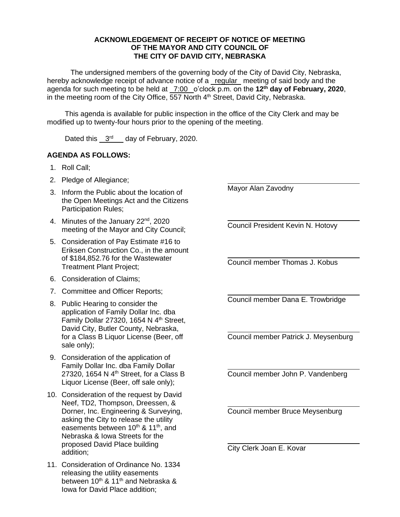## **ACKNOWLEDGEMENT OF RECEIPT OF NOTICE OF MEETING OF THE MAYOR AND CITY COUNCIL OF THE CITY OF DAVID CITY, NEBRASKA**

The undersigned members of the governing body of the City of David City, Nebraska, hereby acknowledge receipt of advance notice of a regular meeting of said body and the agenda for such meeting to be held at 7:00 o'clock p.m. on the **12th day of February, 2020**, in the meeting room of the City Office, 557 North 4<sup>th</sup> Street, David City, Nebraska.

This agenda is available for public inspection in the office of the City Clerk and may be modified up to twenty-four hours prior to the opening of the meeting.

Dated this  $3<sup>rd</sup>$  day of February, 2020.

## **AGENDA AS FOLLOWS:**

- 1. Roll Call;
- 2. Pledge of Allegiance;
- 3. Inform the Public about the location of the Open Meetings Act and the Citizens Participation Rules;
- 4. Minutes of the January 22<sup>nd</sup>, 2020 meeting of the Mayor and City Council;
- 5. Consideration of Pay Estimate #16 to Eriksen Construction Co., in the amount of \$184,852.76 for the Wastewater Treatment Plant Project;
- 6. Consideration of Claims;
- 7. Committee and Officer Reports;
- 8. Public Hearing to consider the application of Family Dollar Inc. dba Family Dollar 27320, 1654 N  $4<sup>th</sup>$  Street, David City, Butler County, Nebraska, for a Class B Liquor License (Beer, off sale only);
- 9. Consideration of the application of Family Dollar Inc. dba Family Dollar 27320, 1654 N  $4<sup>th</sup>$  Street, for a Class B Liquor License (Beer, off sale only);
- 10. Consideration of the request by David Neef, TD2, Thompson, Dreessen, & Dorner, Inc. Engineering & Surveying, asking the City to release the utility easements between 10<sup>th</sup> & 11<sup>th</sup>, and Nebraska & Iowa Streets for the proposed David Place building addition;
- 11. Consideration of Ordinance No. 1334 releasing the utility easements between  $10^{th}$  &  $11^{th}$  and Nebraska & Iowa for David Place addition;

Mayor Alan Zavodny

Council President Kevin N. Hotovy

Council member Thomas J. Kobus

Council member Dana E. Trowbridge

Council member Patrick J. Meysenburg

Council member John P. Vandenberg

Council member Bruce Meysenburg

City Clerk Joan E. Kovar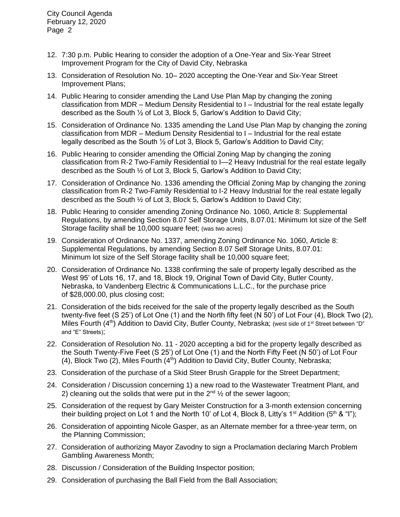City Council Agenda February 12, 2020 Page 2

- 12. 7:30 p.m. Public Hearing to consider the adoption of a One-Year and Six-Year Street Improvement Program for the City of David City, Nebraska
- 13. Consideration of Resolution No. 10– 2020 accepting the One-Year and Six-Year Street Improvement Plans;
- 14. Public Hearing to consider amending the Land Use Plan Map by changing the zoning classification from MDR – Medium Density Residential to I – Industrial for the real estate legally described as the South ½ of Lot 3, Block 5, Garlow's Addition to David City;
- 15. Consideration of Ordinance No. 1335 amending the Land Use Plan Map by changing the zoning classification from MDR – Medium Density Residential to I – Industrial for the real estate legally described as the South ½ of Lot 3, Block 5, Garlow's Addition to David City;
- 16. Public Hearing to consider amending the Official Zoning Map by changing the zoning classification from R-2 Two-Family Residential to I—2 Heavy Industrial for the real estate legally described as the South ½ of Lot 3, Block 5, Garlow's Addition to David City;
- 17. Consideration of Ordinance No. 1336 amending the Official Zoning Map by changing the zoning classification from R-2 Two-Family Residential to I-2 Heavy Industrial for the real estate legally described as the South ½ of Lot 3, Block 5, Garlow's Addition to David City;
- 18. Public Hearing to consider amending Zoning Ordinance No. 1060, Article 8: Supplemental Regulations, by amending Section 8.07 Self Storage Units, 8.07.01: Minimum lot size of the Self Storage facility shall be 10,000 square feet; (was two acres)
- 19. Consideration of Ordinance No. 1337, amending Zoning Ordinance No. 1060, Article 8: Supplemental Regulations, by amending Section 8.07 Self Storage Units, 8.07.01: Minimum lot size of the Self Storage facility shall be 10,000 square feet;
- 20. Consideration of Ordinance No. 1338 confirming the sale of property legally described as the West 95' of Lots 16, 17, and 18, Block 19, Original Town of David City, Butler County, Nebraska, to Vandenberg Electric & Communications L.L.C., for the purchase price of \$28,000.00, plus closing cost;
- 21. Consideration of the bids received for the sale of the property legally described as the South twenty-five feet (S 25') of Lot One (1) and the North fifty feet (N 50') of Lot Four (4), Block Two (2), Miles Fourth (4<sup>th</sup>) Addition to David City, Butler County, Nebraska; (west side of 1<sup>st</sup> Street between "D" and "E" Streets);
- 22. Consideration of Resolution No. 11 2020 accepting a bid for the property legally described as the South Twenty-Five Feet (S 25') of Lot One (1) and the North Fifty Feet (N 50') of Lot Four (4), Block Two (2), Miles Fourth (4<sup>th</sup>) Addition to David City, Butler County, Nebraska;
- 23. Consideration of the purchase of a Skid Steer Brush Grapple for the Street Department;
- 24. Consideration / Discussion concerning 1) a new road to the Wastewater Treatment Plant, and 2) cleaning out the solids that were put in the  $2^{nd}$  % of the sewer lagoon;
- 25. Consideration of the request by Gary Meister Construction for a 3-month extension concerning their building project on Lot 1 and the North 10' of Lot 4, Block 8, Litty's 1<sup>st</sup> Addition (5<sup>th</sup> & "I");
- 26. Consideration of appointing Nicole Gasper, as an Alternate member for a three-year term, on the Planning Commission;
- 27. Consideration of authorizing Mayor Zavodny to sign a Proclamation declaring March Problem Gambling Awareness Month;
- 28. Discussion / Consideration of the Building Inspector position;
- 29. Consideration of purchasing the Ball Field from the Ball Association;